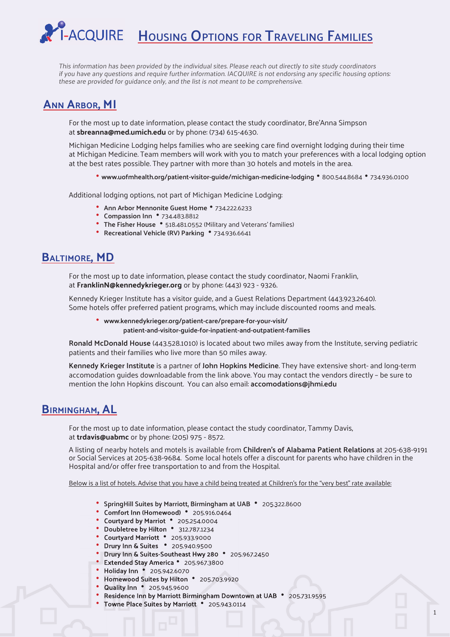# L<br>I-ACQUIRE **HOUSING OPTIONS FOR TRAVELING FAMILIES**

This information has been provided by the individual sites. Please reach out directly to site study coordinators if you have any questions and require further information. IACQUIRE is not endorsing any specific housing options: these are provided for guidance only, and the list is not meant to be comprehensive.

# **ANN ARBOR, MI**

For the most up to date information, please contact the study coordinator, Bre'Anna Simpson at **sbreanna@med.umich.edu** or by phone: (734) 615-4630.

Michigan Medicine Lodging helps families who are seeking care find overnight lodging during their time at Michigan Medicine. Team members will work with you to match your preferences with a local lodging option at the best rates possible. They partner with more than 30 hotels and motels in the area.

**• www.uofmhealth.org/patient-visitor-guide/michigan-medicine-lodging •** 800.544.8684 **•** 734.936.0100

Additional lodging options, not part of Michigan Medicine Lodging:

- **Ann Arbor Mennonite Guest Home** 734.222.6233
- **Compassion Inn** 734.483.8812
- **The Fisher House** 518.481.0552 (Military and Veterans' families)
	- **Recreational Vehicle (RV) Parking** 734.936.6641

### **BALTIMORE, MD**

For the most up to date information, please contact the study coordinator, Naomi Franklin, at **FranklinN@kennedykrieger.org** or by phone: (443) 923 - 9326.

 Kennedy Krieger Institute has a visitor guide, and a Guest Relations Department (443.923.2640). Some hotels offer preferred patient programs, which may include discounted rooms and meals.

 **• www.kennedykrieger.org/patient-care/prepare-for-your-visit/ patient-and-visitor-guide-for-inpatient-and-outpatient-families**

 **Ronald McDonald House** (443.528.1010) is located about two miles away from the Institute, serving pediatric patients and their families who live more than 50 miles away.

**Kennedy Krieger Institute** is a partner of **John Hopkins Medicine**. They have extensive short- and long-term accomodation guides downloadable from the link above. You may contact the vendors directly – be sure to mention the John Hopkins discount. You can also email: **accomodations@jhmi.edu**

### **BIRMINGHAM, AL**

 For the most up to date information, please contact the study coordinator, Tammy Davis, at **trdavis@uabmc** or by phone: (205) 975 - 8572.

 A listing of nearby hotels and motels is available from **Children's of Alabama Patient Relations** at 205-638-9191 or Social Services at 205-638-9684. Some local hotels offer a discount for parents who have children in the Hospital and/or offer free transportation to and from the Hospital.

Below is a list of hotels. Advise that you have a child being treated at Children's for the "very best" rate available:

- **SpringHill Suites by Marriott, Birmingham at UAB** 205.322.8600
	- **Comfort Inn (Homewood)** 205.916.0464
	- **Courtyard by Marriot** 205.254.0004
	- **Doubletree by Hilton** 312.787.1234
	- **Courtyard Marriott** 205.933.9000
	- **Drury Inn & Suites** 205.940.9500
	- **Drury Inn & Suites-Southeast Hwy 280** 205.967.2450
	- **Extended Stay America** 205.967.3800
	- **Holiday Inn** 205.942.6070
	- **Homewood Suites by Hilton** 205.703.9920
	- **Quality Inn** 205.945.9600
	- **Residence Inn by Marriott Birmingham Downtown at UAB** 205.731.9595
	- **Towne Place Suites by Marriott** 205.943.0114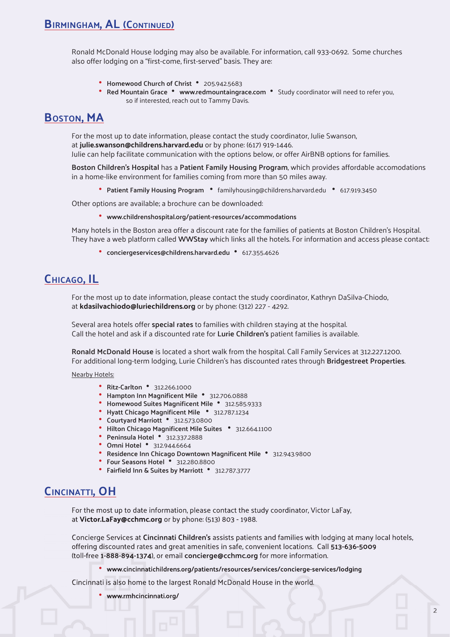### **BIRMINGHAM, AL (CONTINUED)**

Ronald McDonald House lodging may also be available. For information, call 933-0692. Some churches also offer lodging on a "first-come, first-served" basis. They are:

- **Homewood Church of Christ** 205.942.5683
- **Red Mountain Grace www.redmountaingrace.com** Study coordinator will need to refer you, so if interested, reach out to Tammy Davis.

## **BOSTON, MA**

For the most up to date information, please contact the study coordinator, Julie Swanson, at **julie.swanson@childrens.harvard.edu** or by phone: (617) 919-1446.

Julie can help facilitate communication with the options below, or offer AirBNB options for families.

 **Boston Children's Hospital** has a **Patient Family Housing Program**, which provides affordable accomodations in a home-like environment for families coming from more than 50 miles away.

**• Patient Family Housing Program •** familyhousing@childrens.harvard.edu **•** 617.919.3450

Other options are available; a brochure can be downloaded:

**• www.childrenshospital.org/patient-resources/accommodations**

 Many hotels in the Boston area offer a discount rate for the families of patients at Boston Children's Hospital. They have a web platform called **WWStay** which links all the hotels. For information and access please contact:

**• conciergeservices@childrens.harvard.edu •** 617.355.4626

## **CHICAGO, IL**

 For the most up to date information, please contact the study coordinator, Kathryn DaSilva-Chiodo, at **kdasilvachiodo@luriechildrens.org** or by phone: (312) 227 - 4292.

 Several area hotels offer **special rates** to families with children staying at the hospital. Call the hotel and ask if a discounted rate for **Lurie Children's** patient families is available.

**Ronald McDonald House** is located a short walk from the hospital. Call Family Services at 312.227.1200. For additional long-term lodging, Lurie Children's has discounted rates through **Bridgestreet Properties**.

Nearby Hotels:

- **Ritz-Carlton** 312.266.1000
- Hampton Inn Magnificent Mile 312.706.0888
- **Homewood Suites Magnificent Mile** 312.585.9333
- **Hyatt Chicago Magnificent Mile 312.787.1234**
- **Courtyard Marriott** 312.573.0800
- **Hilton Chicago Magnificent Mile Suites 312.664.1100**
- **Peninsula Hotel** 312.337.2888
- **Omni Hotel** 312.944.6664
- **Residence Inn Chicago Downtown Magnificent Mile 312.943.9800**
- **Four Seasons Hotel** 312.280.8800
- **Fairfi eld Inn & Suites by Marriott** 312.787.3777

#### **CINCINATTI, OH**

 For the most up to date information, please contact the study coordinator, Victor LaFay, at **Victor.LaFay@cchmc.org** or by phone: (513) 803 - 1988.

 Concierge Services at **Cincinnati Children's** assists patients and families with lodging at many local hotels, offering discounted rates and great amenities in safe, convenient locations. Call **513-636-5009** (toll-free **1-888-894-1374**), or email **concierge@cchmc.org** for more information.

**• www.cincinnatichildrens.org/patients/resources/services/concierge-services/lodging**

Cincinnati is also home to the largest Ronald McDonald House in the world.

**• www.rmhcincinnati.org/**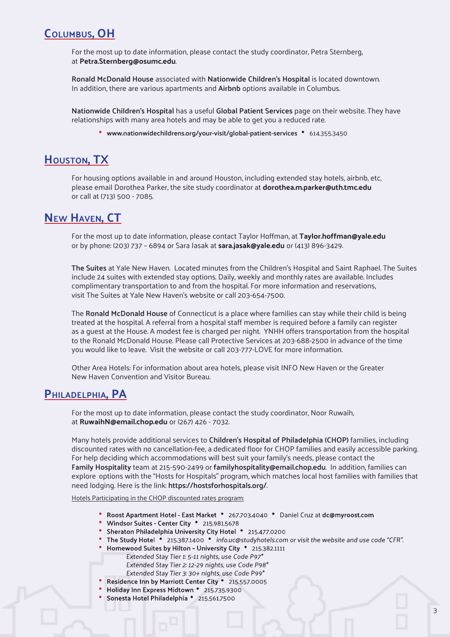## **COLUMBUS, OH**

For the most up to date information, please contact the study coordinator, Petra Sternberg, at **Petra.Sternberg@osumc.edu**.

 **Ronald McDonald House** associated with **Nationwide Children's Hospital** is located downtown. In addition, there are various apartments and **Airbnb** options available in Columbus.

**Nationwide Children's Hospital** has a useful **Global Patient Services** page on their website. They have relationships with many area hotels and may be able to get you a reduced rate.

**• www.nationwidechildrens.org/your-visit/global-patient-services •** 614.355.3450

## **HOUSTON, TX**

For housing options available in and around Houston, including extended stay hotels, airbnb, etc, please email Dorothea Parker, the site study coordinator at **dorothea.m.parker@uth.tmc.edu**  or call at (713) 500 - 7085.

## **NEW HAVEN, CT**

For the most up to date information, please contact Taylor Hoffman, at **Taylor.hoffman@yale.edu**  or by phone: (203) 737 – 6894 or Sara Jasak at **sara.jasak@yale.edu** or (413) 896-3429.

**The Suites** at Yale New Haven. Located minutes from the Children's Hospital and Saint Raphael. The Suites include 24 suites with extended stay options. Daily, weekly and monthly rates are available. Includes complimentary transportation to and from the hospital. For more information and reservations, visit The Suites at Yale New Haven's website or call 203-654-7500.

 The **Ronald McDonald House** of Connecticut is a place where families can stay while their child is being treated at the hospital. A referral from a hospital staff member is required before a family can register as a guest at the House. A modest fee is charged per night. YNHH offers transportation from the hospital to the Ronald McDonald House. Please call Protective Services at 203-688-2500 in advance of the time you would like to leave. Visit the website or call 203-777-LOVE for more information.

 Other Area Hotels: For information about area hotels, please visit INFO New Haven or the Greater New Haven Convention and Visitor Bureau.

#### **PHILADELPHIA, PA**

For the most up to date information, please contact the study coordinator, Noor Ruwaih, at **RuwaihN@email.chop.edu** or (267) 426 - 7032.

 Many hotels provide additional services to **Children's Hospital of Philadelphia (CHOP)** families, including discounted rates with no cancellation-fee, a dedicated floor for CHOP families and easily accessible parking. For help deciding which accommodations will best suit your family's needs, please contact the **Family Hospitality** team at 215-590-2499 or **familyhospitality@email.chop.edu**. In addition, families can explore options with the "Hosts for Hospitals" program, which matches local host families with families that need lodging. Here is the link: **https://hostsforhospitals.org/**.

Hotels Participating in the CHOP discounted rates program:

- **Roost Apartment Hotel East Market** 267.703.4040 Daniel Cruz at **dc@myroost.com**
- **Windsor Suites Center City** 215.981.5678
- **Sheraton Philadelphia University City Hotel** 215.477.0200
- **The Study Hotel** 215.387.1400 info.uc@studyhotels.com or visit the website and use code "CFR".
- **Homewood Suites by Hilton University City** 215.382.1111
	- Extended Stay Tier 1: 5-11 nights, use Code P97\*
	- Extended Stay Tier 2: 12-29 nights, use Code P98\*
	- Extended Stay Tier 3: 30+ nights, use Code P99\*
- **Residence Inn by Marriott Center City** 215.557.0005
- **Holiday Inn Express Midtown** 215.735.9300
- **Sonesta Hotel Philadelphia** 215.561.7500